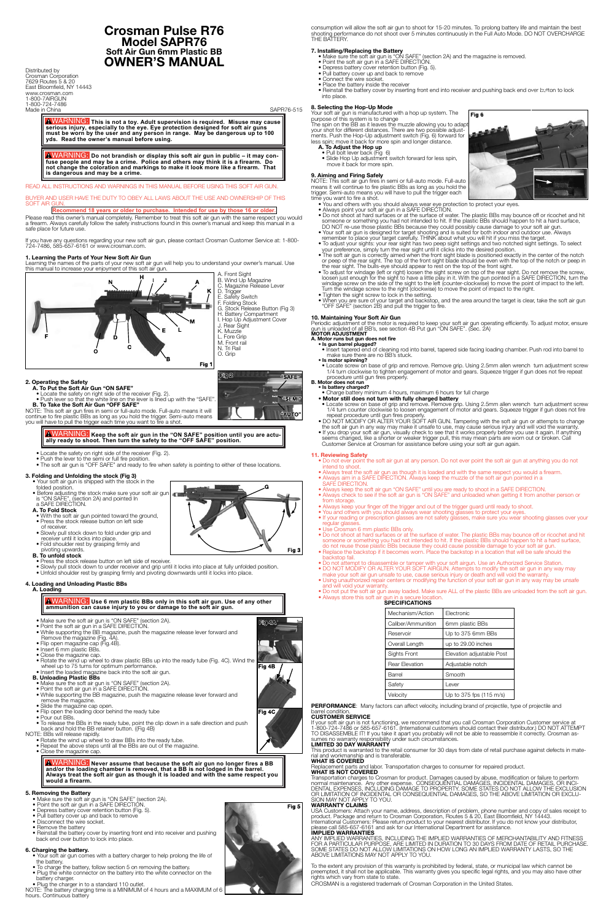# **Crosman Pulse R76 Model SAPR76 Soft Air Gun 6mm Plastic BB OWNER'S MANUAL**

Distributed by Crosman Corporation 7629 Routes 5 & 20 East Bloomfield, NY 14443 www.crosman.com 1-800-7AIRGUN 1-800-724-7486 Made in China SAPR76-515

WARNING: **This is not a toy. Adult supervision is required. Misuse may cause serious injury, especially to the eye. Eye protection designed for soft air guns must be worn by the user and any person in range. May be dangerous up to 100 yds. Read the owner's manual before using.** 

BUYER AND USER HAVE THE DUTY TO OBEY ALL LAWS ABOUT THE USE AND OWNERSHIP OF THIS SOFT AIR

WARNING: **Do not brandish or display this soft air gun in public – it may confuse people and may be a crime. Police and others may think it is a firearm. Do not change the coloration and markings to make it look more like a firearm. That is dangerous and may be a crime.**

# READ ALL INSTRUCTIONS AND WARNINGS IN THIS MANUAL BEFORE USING THIS SOFT AIR GUN.

# **Recommend 18 years or older to purchase. Intended for use by those 16 or older.**

Please read this owner's manual completely. Remember to treat this soft air gun with the same respect you would a firearm. Always carefully follow the safety instructions found in this owner's manual and keep this manual in a safe place for future use.

If you have any questions regarding your new soft air gun, please contact Crosman Customer Service at: 1-800- 724-7486, 585-657-6161 or www.crosman.com.

# **1. Learning the Parts of Your New Soft Air Gun**

Learning the names of the parts of your new soft air gun will help you to understand your owner's manual. Use this manual to increase your enjoyment of this soft air gun. A. Front Sight

> C. Magazine Release Lever D. Trigger E. Safety Switch F. Folding Stock G. Stock Release Button (Fig 3) H. Battery Compartment I. Hop Up Adjustment Cover J. Rear Sight K. Muzzle



### **2. Operating the Safety**

**A. To Put the Soft Air Gun "ON SAFE"**

• Locate the safety on right side of the receiver (Fig. 2).

 • Push lever so that the white line on the lever is lined up with the "SAFE". **B. To Take the Soft Air Gun "OFF SAFE"**

NOTE: This soft air gun fires in semi or full-auto mode. Full-auto means it will continue to fire plastic BBs as long as you hold the trigger. Semi-auto means you will have to pull the trigger each time you want to fire a shot.

## WARNING: **Keep the soft air gun in the "ON SAFE" position until you are actually ready to shoot. Then turn the safety to the "OFF SAFE" position.**

# • Locate the safety on right side of the receiver (Fig. 2).

• Push the lever to the semi or full fire position.

• The soft air gun is "OFF SAFE" and ready to fire when safety is pointing to either of these locations.

## **3. Folding and Unfolding the stock (Fig 3)**

- Your soft air gun is shipped with the stock in the
- folded position.
- Before adjusting the stock make sure your soft air gun is "ON SAFE", (section 2A) and pointed In

### a SAFE DIRECTION. **A. To Fold Stock**

- With the soft air gun pointed toward the ground, • Press the stock release button on left side
	- of receiver. • Slowly pull stock down to fold under grip and
	- receiver until it locks into place.
	- Fold shoulder rest by grasping firmly and

### pivoting upwards. **B. To unfold stock**

- Press the stock release button on left side of receiver.
- Slowly pull stock down to under receiver and grip until it locks into place at fully unfolded position.
- Unfold shoulder rest by grasping firmly and pivoting downwards until it locks into place.

### **4. Loading and Unloading Plastic BBs A. Loading**

• Pull bolt lever back (Fig 6) • Slide Hop Up adjustment switch forward for less spin, move it back for more spin.

WARNING: **Use 6 mm plastic BBs only in this soft air gun. Use of any other ammunition can cause injury to you or damage to the soft air gun.**

- Make sure the soft air gun is "ON SAFE" (section 2A).
- Point the soft air gun in a SAFE DIRECTION. • While supporting the BB magazine, push the magazine release lever forward and
	- Remove the magazine (Fig. 4A).
- 
- Flip open magazine cap (Fig.4B).
- Insert 6 mm plastic BBs. • Close the magazine cap.
	- Rotate the wind up wheel to draw plastic BBs up into the ready tube (Fig. 4C). Wind the wheel up to 75 turns for optimum performance.
	- Insert the loaded magazine back into the soft air gun.

# **B. Unloading Plastic BBs**

- Make sure the soft air gun is "ON SAFE" (section 2A).
- Point the soft air gun in a SAFE DIRECTION.
- Yold the supporting the BB magazine, push the magazine release lever forward and remove the magazine.
- Slide the magazine cap open.
- Flip open the loading door behind the ready tube
- Pour out BBs.
- To release the BBs in the ready tube, point the clip down in a safe direction and push back and hold the BB retainer button. ((Fig 4B)

NOTE: BBs will release rapidly.

- Rotate the wind up wheel to draw BBs into the ready tube.
- Repeat the above steps until all the BBs are out of the magazine.

• Close the magazine cap.

WARNING: **Never assume that because the soft air gun no longer fires a BB and/or the loading chamber is removed, that a BB is not lodged in the barrel. Always treat the soft air gun as though it is loaded and with the same respect you would a firearm.**

# **5. Removing the Battery**

- Make sure the soft air gun is "ON SAFE" (section 2A).
- Point the soft air gun in a SAFE DIRECTION.
- Depress battery cover retention button (Fig. 5).
- Pull battery cover up and back to remove
- Disconnect the wire socket.
- Remove the battery
- Reinstall the battery cover by inserting front end into receiver and pushing back end over button to lock into place.

# **6. Charging the battery.**

- Your soft air gun comes with a battery charger to help prolong the life of the battery.
- To charge the battery, follow section 5 on removing the battery.
- Plug the white connector on the battery into the white connector on the battery charger.
- 

• Plug the charger in to a standard 110 outlet. NOTE: The battery charging time is a MINIMUM of 4 hours and a MAXIMUM of 6 hours. Continuous battery



consumption will allow the soft air gun to shoot for 15-20 minutes. To prolong battery life and maintain the best shooting performance do not shoot over 5 minutes continuously in the Full Auto Mode. DO NOT OVERCHARGE THE BATTERY.

- **7. Installing/Replacing the Battery** Make sure the soft air gun is "ON SAFE" (section 2A) and the magazine is removed.
	- Point the soft air gun in a SAFE DIRECTION.
- Depress battery cover retention button (Fig. 5). • Pull battery cover up and back to remove
- Connect the wire socket.
- Place the battery inside the receiver
- Reinstall the battery cover by inserting front end into receiver and pushing back end over button to lock into place.

If your soft air gun is not functioning, we recommend that you call Crosman Corporation Customer service at 1-800-724-7486 or 585-657-6161. (International customers should contact their distributor.) DO NOT ATTEMPT TO DISASSEMBLE IT! If you take it apart you probably will not be able to reassemble it correctly. Crosman assumes no warranty responsibility under such circumstances.

**8. Selecting the Hop-Up Mode** Your soft air gun is manufactured with a hop up system. The purpose of this system is to change The spin on the BB as it leaves the muzzle allowing you to adapt your shot for different distances. There are two possible adjustments. Push the Hop-Up adjustment switch (Fig. 6) forward for less spin; move it back for more spin and longer distance.

# **A. To Adjust the Hop up**

Transportation charges to Crosman for product. Damages caused by abuse, modification or failure to perform<br>normal maintenance. Any other expense. CONSEQUENTIAL DAMAGES, INCIDENTAL DAMAGES, OR INCI-<br>DENTAL EXPENSES, INCLU OR LIMITATION OF INCIDENTAL OR CONSEQUENTIAL DAMAGES, SO THE ABOVE LIMITATION OR EXCLU- SION MAY NOT APPLY TO YOU.

USA Customers: Attach your name, address, description of problem, phone number and copy of sales receipt to<br>product. Package and return to Crosman Corporation, Routes 5 & 20, East Bloomfield, NY 14443.<br>International Custom please call 585-657-6161 and ask for our International Department for assistance. **IMPLIED WARRANTIES**

ANY IMPLIED WARRANTIES, INCLUDING THE IMPLIED WARRANTIES OF MERCHANTABILITY AND FITNESS<br>FOR A PARTICULAR PURPOSE, ARE LIMITED IN DURATION TO 30 DAYS FROM DATE OF RETAIL PURCHASE.<br>SOME STATES DO NOT ALLOW LIMITATIONS ON HOW

To the extent any provision of this warranty is prohibited by federal, state, or municipal law which cannot be<br>preempted, it shall not be applicable. This warranty gives you specific legal rights, and you may also have oth rights which vary from state to state.

- **9. Aiming and Firing Safely** NOTE: This soft air gun fires in semi or full-auto mode. Full-auto means it will continue to fire plastic BBs as long as you hold the
- trigger. Semi-auto means you will have to pull the trigger each time you want to fire a shot.
	- You and others with you should always wear eye protection to protect your eyes.
- Always point your soft air gun in a SAFE DIRECTION.
- Do not shoot at hard surfaces or at the surface of water. The plastic BBs may bounce off or ricochet and hit someone or something you had not intended to hit. If the plastic BBs should happen to hit a hard surface, DO NOT re-use those plastic BBs because they could possibly cause damage to your soft air gun.
- Your soft air gun is designed for target shooting and is suited for both indoor and outdoor use. Always remember to place your target carefully. THINK about what you will hit if you miss the target.
- To adjust your sights: your rear sight has two peep sight settings and two notched sight settings. To select your preference, simply turn the rear sight until it clicks into the desired position.
- The soft air gun is correctly aimed when the front sight blade is positioned exactly in the center of the notch or peep of the rear sight. The top of the front sight blade should be even with the top of the notch or peep in the rear sight. The bulls-eye should appear to rest on the top of the front sight.
- To adjust for windage (left or right) loosen the sight screw on top of the rear sight. Do not remove the screw, loosen just enough for the sight to have a little play in it. With the gun pointed in a SAFE DIRECTION, turn the windage screw on the side of the sight to the left (counter-clockwise) to move the point of impact to the left. Turn the windage screw to the right (clockwise) to move the point of impact to the right.
- Tighten the sight screw to lock in the setting.
- When you are sure of your target and backstop, and the area around the target is clear, take the soft air gun "OFF SAFE" (section 2B) and pull the trigger to fire.

# **10. Maintaining Your Soft Air Gun**

Periodic adjustment of the motor is required to keep your soft air gun operating efficiently. To adjust motor, ensure gun is unloaded of all BB's, see section 4B Put gun "ON SAFE". (Sec. 2A) **MOTOR ADJUSTMENT A. Motor runs but gun does not fire**

- 
- **Is gun barrel plugged?** • Insert tapered end of cleaning rod into barrel, tapered side facing loading chamber. Push rod into barrel to make sure there are no BB's stuck. **• Is motor spinning?**
- Locate screw on base of grip and remove. Remove grip. Using 2.5mm allen wrench turn adjustment screw 1/4 turn clockwise to tighten engagement of motor and gears. Squeeze trigger if gun does not fire repeat procedure until gun fires properly.

# **B. Motor does not run • Is battery charged?**

- Charge battery minimum 4 hours, maximum 6 hours for full charge
	- **Motor still does not turn with fully charged battery**
- Locate screw on base of grip and remove. Remove grip. Using 2.5mm allen wrench turn adjustment screw 1/4 turn counter clockwise to loosen engagement of motor and gears. Squeeze trigger if gun does not fire repeat procedure until gun fires properly.
- DO NOT MODIFY OR ALTER YOUR SOFT AIR GUN. Tampering with the soft air gun or attempts to change the soft air gun in any way may make it unsafe to use, may cause serious injury and will void the warranty.
- If you drop your soft air gun, visually check to see that it works properly before you use it again. If anything seems changed, like a shorter or weaker trigger pull, this may mean parts are worn out or broken. Call Customer Service at Crosman for assistance before using your soft air gun again.

## **11. Reviewing Safety**

- Do not ever point the soft air gun at any person. Do not ever point the soft air gun at anything you do not intend to shoot.
	- Always treat the soft air gun as though it is loaded and with the same respect you would a firearm.
- Always aim in a SAFE DIRECTION. Always keep the muzzle of the soft air gun pointed in a SAFE DIRECTION.
- Always keep the soft air gun "ON SAFE" until you are ready to shoot in a SAFE DIRECTION.
- Always check to see if the soft air gun is "ON SAFE" and unloaded when getting it from another person or from storage.
- Always keep your finger off the trigger and out of the trigger guard until ready to shoot.
- You and others with you should always wear shooting glasses to protect your eyes.
- If your reading or prescription glasses are not safety glasses, make sure you wear shooting glasses over your regular glass
- Use Crosman 6 mm plastic BBs only.
- Do not shoot at hard surfaces or at the surface of water. The plastic BBs may bounce off or ricochet and hit someone or something you had not intended to hit. If the plastic BBs should happen to hit a hard surface, do not reuse those plastic BBs because they could cause possible damage to your soft air gun.
- Replace the backstop if it becomes worn. Place the backstop in a location that will be safe should the backstop fail.
- Do not attempt to disassemble or tamper with your soft airgun. Use an Authorized Service Station. • DO NOT MODIFY OR ALTER YOUR SOFT AIRGUN. Attempts to modify the soft air gun in any way may
- make your soft air gun unsafe to use, cause serious injury or death and will void the warranty • Using unauthorized repair centers or modifying the function of your soft air gun in any way may be unsafe and will void your warranty.
- Do not put the soft air gun away loaded. Make sure ALL of the plastic BBs are unloaded from the soft air gun. • Always store this soft air gun in a secure location.  **SPECIFICATIONS**

| .                  |                   |  |
|--------------------|-------------------|--|
| Mechanism/Action   | Electronic        |  |
| Caliber/Ammunition | 6mm plastic BBs   |  |
| Reservoir          | Up to 375 6mm BBs |  |









| Overall Length        | up to 29.00 inches        |
|-----------------------|---------------------------|
| Sights Front          | Elevation adjustable Post |
| <b>Rear Elevation</b> | Adjustable notch          |
| Barrel                | Smooth                    |
| Safety                | Lever                     |
| Velocity              | Up to 375 fps (115 m/s)   |

PERFORMANCE: Many factors can affect velocity, including brand of projectile, type of projectile and

### barrel condition. **CUSTOMER SERVICE**

# **LIMITED 30 DAY WARRANTY**

This product is warranted to the retail consumer for 30 days from date of retail purchase against defects in mate- rial and workmanship and is transferable.

## **WHAT IS COVERED**

Replacement parts and labor. Transportation charges to consumer for repaired product. **WHAT IS NOT COVERED**

# **WARRANTY CLAIMS**

CROSMAN is a registered trademark of Crosman Corporation in the United States.

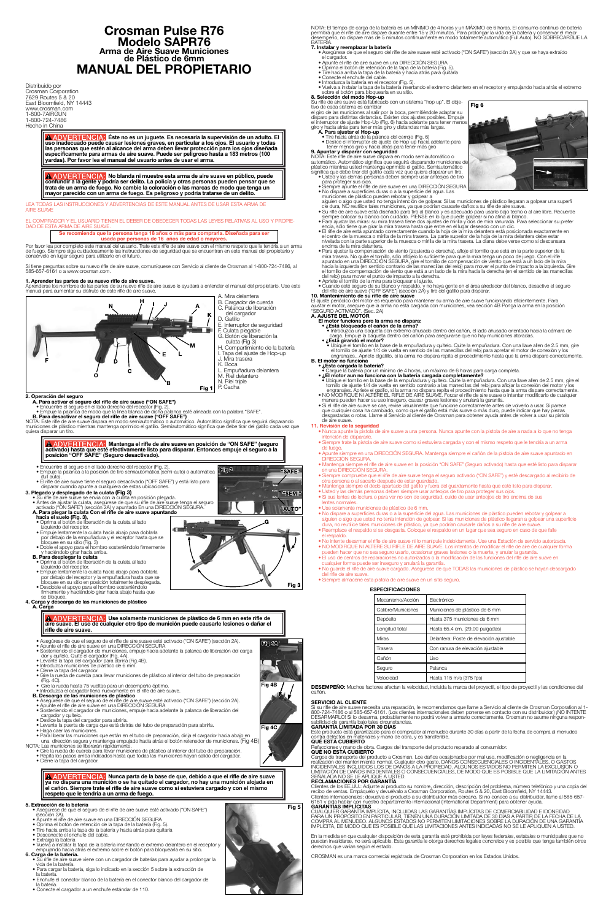# **Crosman Pulse R76 Modelo SAPR76 Arma de Aire Suave Municiones de Plástico de 6mm MANUAL DEL PROPIETARIO**

Distribuido por Crosman Corporation 7629 Routes 5 & 20 East Bloomfield, NY 14443 www.crosman.com 1-800-7AIRGUN 1-800-724-7486 Hecho in China

> **Éste no es un juguete. Es necesaria la supervisión de un adulto. El uso inadecuado puede causar lesiones graves, en particular a los ojos. El usuario y todas las personas que estén al alcance del arma deben llevar protección para los ojos diseñada específicamente para armas de aire suave. Puede ser peligroso hasta a 183 metros (100 yardas). Por favor lea el manual del usuario antes de usar el arma.**

**ERTENCIA: No blanda ni muestre esta arma de aire suave en público, puede confundir a la gente y podría ser delito. La policía y otras personas pueden pensar que se trata de un arma de fuego. No cambie la coloración o las marcas de modo que tenga un mayor parecido con un arma de fuego. Es peligroso y podría tratarse de un delito.**

S LAS INSTRUCCIONES Y ADVERTENCIAS DE ESTE MANUAL ANTES DE USAR ESTA ARMA DE **AIRE SUAVE** 

### COMPRADOR Y EL USUARIO TIENEN EL DEBER DE OBEDECER TODAS LAS LEYES RELATIVAS AL USO Y PROPIE-DAD DE ESTA ARMA DE AIRE SUAVE

Por favor lea por completo este manual del usuario. Trate este rifle de aire suave con el mismo respeto que le tendría a un arma<br>de fuego. Siempre siga cuidadosamente las instrucciones de seguridad que se encuentran en est consérvelo en lugar seguro para utilizarlo en el futuro.

> A. Mira delantera B. Cargador de cuerda<br>C. Palanca de liberación

- Palanca de liberación
- del cargador D. Gatillo
- E. Interruptor de seguridad
- F. Culata plegable
- G. Botón de liberación la culata (Fig 3)
- H. Compartimiento de la batería

"SAFE"

Fig<sub>3</sub>

Semi

# **Se recomienda que la persona tenga 18 años o más para comprarla. Diseñada para ser usada por personas de 16 años de edad o mayores.**

**B. Para desactivar el seguro del rifle de aire suave ("OFF SAFE")**<br>NOTA: Este rifle de aire suave dispara en modo semiautomático o automático. Automático significa que seguirá disparando<br>municiones de plástico mientras ma quiera disparar un tiro.

Si tiene preguntas sobre su nuevo rifle de aire suave, comuníquese con Servicio al cliente de Crosman al 1-800-724-7486, al 585-657-6161 o a www.crosman.com.

## **1. Aprender las partes de su nuevo rifle de aire suave.**

Aprenderse los nombres de las partes de su nuevo rifle de aire suave le ayudará a entender el manual del propietario. Use este manual para aumentar su disfrute de este rifle de aire suave.



- 
- 
- A. Para plegar la culata Con el rifle de aire suave apuntando<br>
hacia el suelo (Fig. 3),<br>
 Oprima el botón de lla culata al lado<br>
izquierdo del receptor.<br>
 Empuje lentamente la culata hacia abajo para doblarla<br>
por debajo
	-
	-
- **B. Para desplegar la culata**<br>
 Oprima el botón de liberación de la culata al lado<br>
 Coprima el botón de liberación de la culata al lado<br>
 Empuje lentamente la culata hacia abajo para doblarla<br>
por debajo del receptor y
- 
- **4. Carga y descarga de las municiones de plástico A. Carga**
- I. Tapa del ajuste de Hop-up
- J. Mira trasera
- K. Boca L. Empuñadura delantera
- M. Riel delantero
- N. Riel triple
- P. Cacha

Fig 2

**2. Operación del seguro<br>- A. Para activar el seguro del rifle de aire suave ("ON SAFE")<br>- Emcuentre el seguro en el lado derecho del receptor (Fig. 2).<br>- Empuje la palanca de modo que la línea blanca de dicha palanca esté** 

 $\triangle$  **ADVERTENCIA:** Use solamente municiones de plástico de 6 mm en este rifle de **aire suave. El uso de cualquier otro tipo de munición puede causarle lesiones o dañar el rifle de aire suave.**

NOTA: El tiempo de carga de la batería es un MÍNIMO de 4 horas y un MÁXIMO de 6 horas. El consumo continuo de batería<br>permitirá que el rifle de aire dispare durante entre 15 y 20 minutos. Para prolongar la vida de la bater

- 
- 
- Iniudizza de las municiones de plástico<br>
 Asegúrese de que el seguro de el rifle de aire suave esté activado ("ON SAFE") (sección 2A).<br>
 Apunte el rifle de aire suave en una DIRECCIÓN SEGURA<br>
 Sosteniendo el cargador
- 
- 
- 
- una dirección segura y mantenga empujado hacia atrás el botón retenedor de municiones. (Fig 4B)

### **Mantenga el rifle de aire suave en posición de "ON SAFE" (seguro activado) hasta que esté efectivamente listo para disparar. Entonces empuje el seguro a la posición "OFF SAFE" (Seguro desactivado).**

- Encuentre el seguro en el lado derecho del receptor (Fig. 2).<br>• Empuje la palanca a la posición de tiro semiautomática (semi-auto) o automática<br>(full auto).
- 

- **3. Plegado y desplegado de la culata (Fig 3)**<br>• Su rifle de aire suave se envia con la culata en posición plegada.<br>• Antes de ajustar la culata, asegúrese de que su rifle de aire suave tenga el seguro<br>• activado ("ON SAFE
- 

**ERTENCIA:** Nunca parta de la base de que, debido a que el rifle de aire suave **ya no dispara una munición o se ha quitado el cargador, no hay una munición alojada en el cañón. Siempre trate el rifle de aire suave como si estuviera cargado y con el mismo respeto que le tendría a un arma de fuego.**

- · Asegúrese de que el seguro de el rifle de aire suave esté activado ("ON SAFE") • Apunte el rifle de aire suave en una DIRECCIÓN SEGURA
- 
- Oprima el botón de retención de la tapa de la batería (Fig. 5).
- Tire hacia arriba la tapa de la batería y hacia atrás para quitarla Desconecte el enchufe del cable.
- 
- Extraiga la batería
- Vuelva a instalar la tapa de la batería insertando el extremo delantero en el receptor y empujando hacia atrás el extremo sobre el botón para bloquearla en su sitio.
- plástico mientras usted mantenga oprimido el gatillo. Semiautomático significa que debe tirar del gatillo cada vez que quiera disparar un tiro.
- Usted y las demás personas deben siempre usar anteojos de tiro para proteger sus ojos. Siempre apunte el rifle de aire suave en una DIRECCIÓN SEGURA
- 
- No díspare a superficies duras o a la superficie del agua. Las<br>municiones de plástico pueden rebotar y golpear a<br>alguien o algo que usted no tenga intención de golpear. Si las municiones de plástico llegaran a golpear un • Su rifle de aire suave está diseñado para tiro al blanco y es adecuado para usarlo bajo techo o al aire libre. Recuerde<br>siempre colocar su blanco con cuidado. PIENSE en lo que puede golpear si no atina al blanco.
- Para ajustar las miras: su mira trasera tiene dos ajustes de mirilla y dos de mira ranurada. Para seleccionar su prefer<br>• Para ajustar las miras: su mira trasera tiene dos ajustes de mirilla y dos de mira ranurada. Para
- éncia, sólo tiene que girar la mira trasera hasta que entre en el lugar deseado con un clic.<br>• El rifle de aire está apuntado correctamente cuando la hoja de la mira delantera está posicionada exactamente en el centro de l
- mira trasera. No quite el tornillo, sólo aflòjelo lo suficiente para que la mira tenga un poco de juego. Con el rifle apuntado en una DIRECCION SEGURA, gire el tornillo, sólo aflòjelo lo suficiente para que la mira tenga u e tornimo de compensación de relação del relação para mover el punto de impacto a la derecha.<br>• Apriete el tornillo de la mira para bloquear el ajuste.
- Cuando esté seguro de su blanco y respaldo, y no haya gente en el área alrededor del blanco, desactive el seguro del rifle de aire suave ("OFF SAFE") (sección 2A) y tire del gatillo para disparar.
- **10. Mantenimiento de su rifle de aire suave** El ajuste periódico del motor es requerido para mantener su arma de aire suave funcionando eficientemente. Para<br>ajustar el motor, asegure que la arma no está cargada con municiones, vea sección 4B Ponga la arma en la posic

- 
- -
- Hotor funciona pero la arma no dispara:<br>• El motor funciona pero la arma no dispara:<br>• Introduzca una baqueta con extremo ahusado dentro del cañón, el lado ahusado orientado hacia la cámara de<br>• Introduzca una baqueta d

NOTA: Las municiones se liberarán rápidamente.

- Gire la rueda de cuerda para llevar municiones de plástico al interior del tubo de preparación. Repita los pasos arriba indicados hasta que todas las municiones hayan salido del cargador. Cierre la tapa del cargador.
- 
- 

### **5. Extracción de la batería**

- **B. El motor no funciona**<br>● ¿**Esta cargada la batería?**<br>● Cargue la batería por un mínimo de 4 horas, un máximo de 6 horas para carga completa.
- El motor aun no funciona con la batería cargada completamente?<br>• Ubique el tornillo en la base de la empuñadura y quitelo. Quite la empuñadura. Con una llave allen de 2.5 mm, gire el<br>• tornillo de ajuste 1/4 de vuelta en
- NO MODIFIQUE NI ALTERE EL RIFLE DE AIRE SUAVE. Forzar el rifle de aire suave o intentar modificarlo de cualquier<br>manera pueden hacer su uso inseguro, causar graves lesiones y anulará la garantía.
- Si el rifle de aire suave se cae, revise visualmente que funcione correctamente antes de volverlo a usar. Si parece que cualquier cosa ha cambiado, como que el gatillo está más suave o más duro, puede indicar que hay piezas desgastadas o rotas. Llame al Servicio al cliente de Crosman para obtener ayuda antes de volver a usar su pistola de aire suave.

### **6. Carga de la batería.**

- Su rifle de aire suave viene con un cargador de baterías para ayudar a prolongar la vida de la batería.
- Para cargar la batería, siga lo indicado en la sección 5 sobre la extracción de la batería.
- Enchufe el conector blanco de la batería en el conector blanco del cargador de la batería.
- Conecte el cargador a un enchufe estándar de 110.



### **7. Instalar y reemplazar la batería**

- Asegúrese de que el seguro del rifle de aire suave esté activado ("ON SAFE") (sección 2A) y que se haya extraído
- Apunte el rifle de aire suave en una DIRECCIÓN SEGURA
- Oprima el botón de retención de la tapa de la batería (Fig. 5). Tire hacia arriba la tapa de la batería y hacia atrás para quitarla
- Conecte el enchufe del cable.
- 
- Introduzca la batería en el receptor (Fig. 5).<br>• Vuelva a instalar la tapa de la batería insertando el extremo delantero en el receptor y empujando hacia atrás el extremo<br>sobre el botón para bloquearla en su sitio.

**8. Selección del modo Hop-up**<br>Su rifle de aire suave está fabricado con un sistema "hop up". El obje-<br>tivo de cada sistema es cambiar el giro de las municiones al salir por la boca, permitiéndole adaptar su<br>disparo para distintas distancias. Existen dos ajustes posibles. Empuje<br>el interruptor de ajuste Hop-Up (Fig. 6) hacia adelante para tener menos<br>giro

Cargos de transporte del producto a Crosman. Los daños ocasionados por mal uso, modificación o negligencia en la<br>realización del mantenimiento normal. Cualquier otro gasto. DANOS CONSECUENCIALES O INCIDENTÁLES, O GASTOS<br>IN SEÑALADA NO SE LE APLIQUE A USTED.

- 
- **A. Para ajustar el Hop-up** Tire hacia atrás de la palanca del cerrojo (Fig. 6) Deslice el interruptor de ajuste de Hop-up hacia adelante para tener menos giro y hacia atrás para tener más giro
- 

# **9. Apuntar y disparar con seguridad**<br>NOTA: Este rifle de aire suave dispara en modo semiautomático o<br>automático. Automático significa que seguirá disparando municiones de|

Clientes de los EE.UU.: Adjunte al producto su nombre, dirección, descripción del problema, número telefónico y una copia del<br>recibo de ventas. Empáquelo y devuélvalo a Crosman Corporation, Routes 5 & 20, East Bloomfield, 6161 y pida hablar con nuestro departamento internacional (International Department) para obtener ayuda.

**GARÁNTIAS IMPLICITAS**<br>CUALQUIER GARANTÍA IMPLÍCITA, INCLUIDAS LAS GARANTÍAS IMPLÍCITAS DE COMERCIABILIDAD E IDONEIDAD<br>PARA UN PROPÓSITO EN PARTICULAR, TIENEN UNA DURACIÓN LIMITADA DE 30 DÍAS A PARTIR DE LA FECHA DE LA<br>COM

En la medida en que cualquier disposición de esta garantía esté prohibida por leyes federales, estatales o municipales que no<br>puedan invalidarse, no será aplicable. Esta garantía le otorga derechos legales concretos y es p

# **11. Revisión de la seguridad**

- Nunca apunte la pistola de aire suave a una persona. Nunca apunte con la pistola de aire a nada a lo que no tenga intención de dispararle.
- Siempre trate la pistola de aire suave como si estuviera cargada y con el mismo respeto que le tendría a un arma
- de fuego. Apunte siempre en una DIRECCIÓN SEGURA. Mantenga siempre el cañón de la pistola de aire suave apuntado en DIRECCIÓN SEGURA.
- Mantenga siempre el rifle de aire suave en la posición "ON SAFE" (Seguro activado) hasta que esté listo para disparar en una DIRECCIÓN SEGURA. • Siempre compruebe que el rifle de aire suave tenga el seguro activado ("ON SAFE") y esté descargado al recibirlo de
	- otra persona o al sacarlo después de estar guardado.
- Mantenga siempre el dedo apartado del gatillo y fuera del guardamonte hasta que esté listo para disparar. Usted y las demás personas deben siempre usar anteojos de tiro para proteger sus ojos.
- Si sus lentes de lectura o para ver no son de seguridad, cuide de usar anteojos de tiro encima de sus lentes normales.
- Use solamente municiones de plástico de 6 mm.
- No dispare a superficies duras o a la superficie del agua. Las municiones de plástico pueden rebotar y golpear a<br>alguien o algo que usted no tenía intención de golpear. Si las municiones de plástico llegaran a golpear un dura, no reutilice tales municiones de plástico, ya que podrían causarle daños a su rifle de aire suave.
- Reemplace el respaldo si se desgasta. Coloque el respaldo en un lugar que sea seguro en caso de que falle el respaldo.
- No intente desarmar el rifle de aire suave ni lo manipule indebidamente. Use una Estación de servicio autorizada. • NO MODIFIQUE NI ALTERE SU RIFLE DE AIRE SUAVE. Los intentos de modificar el rifle de aire de cualquier forma
- pueden hacer que no sea seguro usarlo, ocasionar graves lesiones o la muerte, y anular la garantía. • El uso de centros de reparaciones no autorizados o la modificación de las funciones del rifle de aire suave en
- cualquier forma puede ser inseguro y anulará la garantía. No guarde el rifle de aire suave cargado. Asegúrese de que TODAS las municiones de plástico se hayan descargado
- del rifle de aire suave. • Siempre almacene esta pistola de aire suave en un sitio seguro.
	- **ESPECIFICACIONES**

| Mecanismo/Acción   | Electrónico                             |  |  |
|--------------------|-----------------------------------------|--|--|
| Calibre/Municiones | Municiones de plástico de 6 mm          |  |  |
| Depósito           | Hasta 375 municiones de 6 mm            |  |  |
| Longitud total     | Hasta 65.4 cm. (29.00 pulgadas)         |  |  |
| <b>Miras</b>       | Delantera: Poste de elevación ajustable |  |  |
| Trasera            | Con ranura de elevación ajustable       |  |  |
| Cañón              | Liso                                    |  |  |
| Seguro             | Palanca                                 |  |  |
| Velocidad          | Hasta 115 m/s (375 fps)                 |  |  |





- 
- 
- Asegúrese de que el seguro de el rifle de aire suave esté activado ("ON SAFE") (sección 2A).<br>• Apunte el rifle de aire suave en una DIRECCIÓN SEGURA<br>• Sosteniendo el cargador de municiones, empuje hacia adelante la palan
- 
- 
- 
- 
- 
- 

**DESEMPEÑO:** Muchos factores afectan la velocidad, incluida la marca del proyectil, el tipo de proyectil y las condiciones del cañón.

## **SERVICIO AL CLIENTE**

Si su rifle de aire suave necesita una reparación, le recomendamos que llame a Servicio al cliente de Crosman Corporation al 1-<br>800-724-7486 o al 585-657-6161. (Los clientes internacionales deben ponerse en contacto con su DESARMARLO! Si lo desarma, probablemente no podrá volver a armarlo correctamente. Crosman no asume ninguna respon-

# **GARANTÍA LIMITADA POR 30 DÍAS**

Este producto está garantizado para el comprador al menudeo durante 30 días a partir de la fecha de compra al menudeo contra defectos en materiales y mano de obra, y es transferible.

# **QUÉ ESTÁ CUBIERTO**

Refacciones y mano de obra. Cargos del transporte del producto reparado al consumidor. **QUÉ NO ESTÁ CUBIERTO**

# **RECLAMACIONES POR GARANTÍA**

CROSMAN es una marca comercial registrada de Crosman Corporation en los Estados Unidos.



Ftg4A

 $Fig 4B$